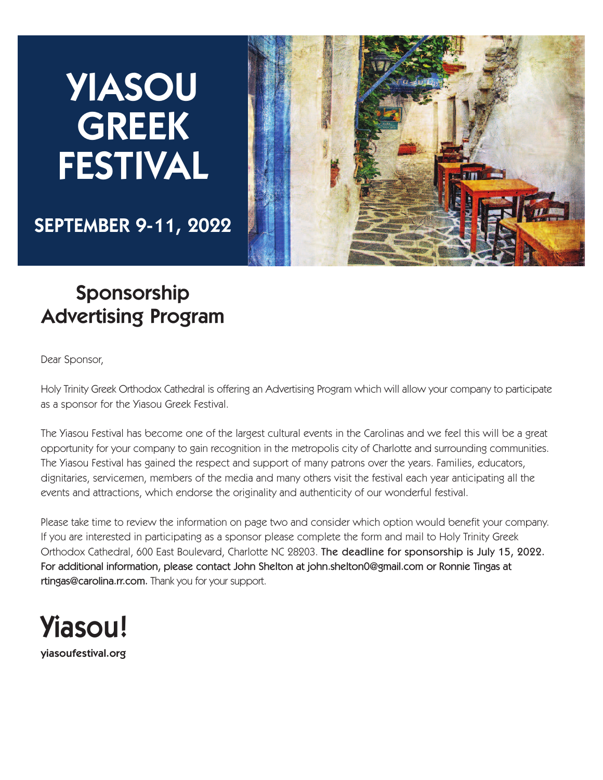# **YIASOU GREEK FESTIVAL**



**SEPTEMBER 9-11, 2022**

## **Sponsorship Advertising Program**

Dear Sponsor,

Holy Trinity Greek Orthodox Cathedral is offering an Advertising Program which will allow your company to participate as a sponsor for the Yiasou Greek Festival.

The Yiasou Festival has become one of the largest cultural events in the Carolinas and we feel this will be a great opportunity for your company to gain recognition in the metropolis city of Charlotte and surrounding communities. The Yiasou Festival has gained the respect and support of many patrons over the years. Families, educators, dignitaries, servicemen, members of the media and many others visit the festival each year anticipating all the events and attractions, which endorse the originality and authenticity of our wonderful festival.

Please take time to review the information on page two and consider which option would benefit your company. If you are interested in participating as a sponsor please complete the form and mail to Holy Trinity Greek Orthodox Cathedral, 600 East Boulevard, Charlotte NC 28203. The deadline for sponsorship is July 15, 2022. For additional information, please contact John Shelton at john.shelton0@gmail.com or Ronnie Tingas at rtingas@carolina.rr.com. Thank you for your support.



**yiasoufestival.org**